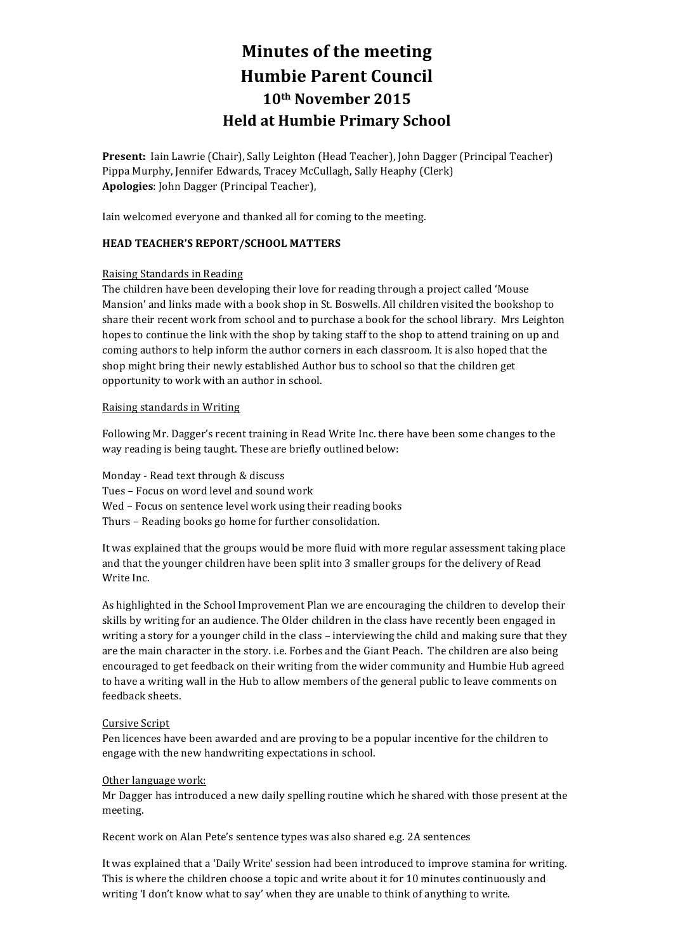# **Minutes of the meeting Humbie Parent Council 10th November 2015 Held at Humbie Primary School**

Present: Iain Lawrie (Chair), Sally Leighton (Head Teacher), John Dagger (Principal Teacher) Pippa Murphy, Jennifer Edwards, Tracey McCullagh, Sally Heaphy (Clerk) Apologies: John Dagger (Principal Teacher),

Iain welcomed everyone and thanked all for coming to the meeting.

# **HEAD TEACHER'S REPORT/SCHOOL MATTERS**

## **Raising Standards in Reading**

The children have been developing their love for reading through a project called 'Mouse Mansion' and links made with a book shop in St. Boswells. All children visited the bookshop to share their recent work from school and to purchase a book for the school library. Mrs Leighton hopes to continue the link with the shop by taking staff to the shop to attend training on up and coming authors to help inform the author corners in each classroom. It is also hoped that the shop might bring their newly established Author bus to school so that the children get opportunity to work with an author in school.

## Raising standards in Writing

Following Mr. Dagger's recent training in Read Write Inc. there have been some changes to the way reading is being taught. These are briefly outlined below:

Monday - Read text through & discuss

- Tues Focus on word level and sound work
- Wed Focus on sentence level work using their reading books
- Thurs Reading books go home for further consolidation.

It was explained that the groups would be more fluid with more regular assessment taking place and that the younger children have been split into 3 smaller groups for the delivery of Read Write Inc.

As highlighted in the School Improvement Plan we are encouraging the children to develop their skills by writing for an audience. The Older children in the class have recently been engaged in writing a story for a younger child in the class - interviewing the child and making sure that they are the main character in the story. i.e. Forbes and the Giant Peach. The children are also being encouraged to get feedback on their writing from the wider community and Humbie Hub agreed to have a writing wall in the Hub to allow members of the general public to leave comments on feedback sheets.

## Cursive Script

Pen licences have been awarded and are proving to be a popular incentive for the children to engage with the new handwriting expectations in school.

## Other language work:

Mr Dagger has introduced a new daily spelling routine which he shared with those present at the meeting. 

Recent work on Alan Pete's sentence types was also shared e.g. 2A sentences

It was explained that a 'Daily Write' session had been introduced to improve stamina for writing. This is where the children choose a topic and write about it for 10 minutes continuously and writing 'I don't know what to say' when they are unable to think of anything to write.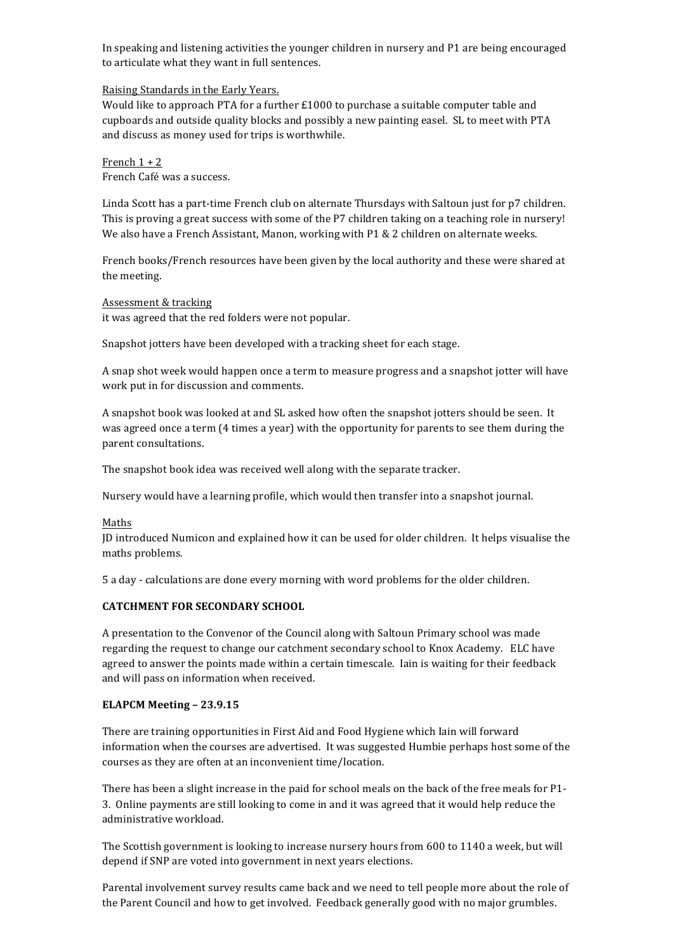In speaking and listening activities the younger children in nursery and P1 are being encouraged to articulate what they want in full sentences.

#### Raising Standards in the Early Years.

Would like to approach PTA for a further  $£1000$  to purchase a suitable computer table and cupboards and outside quality blocks and possibly a new painting easel. SL to meet with PTA and discuss as money used for trips is worthwhile.

French  $1 + 2$ French Café was a success.

Linda Scott has a part-time French club on alternate Thursdays with Saltoun just for p7 children. This is proving a great success with some of the P7 children taking on a teaching role in nursery! We also have a French Assistant, Manon, working with  $P1 \& 2$  children on alternate weeks.

French books/French resources have been given by the local authority and these were shared at the meeting.

#### Assessment & tracking

it was agreed that the red folders were not popular.

Snapshot jotters have been developed with a tracking sheet for each stage.

A snap shot week would happen once a term to measure progress and a snapshot jotter will have work put in for discussion and comments.

A snapshot book was looked at and SL asked how often the snapshot jotters should be seen. It was agreed once a term (4 times a year) with the opportunity for parents to see them during the parent consultations.

The snapshot book idea was received well along with the separate tracker.

Nursery would have a learning profile, which would then transfer into a snapshot journal.

#### Maths

JD introduced Numicon and explained how it can be used for older children. It helps visualise the maths problems.

5 a day - calculations are done every morning with word problems for the older children.

## **CATCHMENT FOR SECONDARY SCHOOL**

A presentation to the Convenor of the Council along with Saltoun Primary school was made regarding the request to change our catchment secondary school to Knox Academy. ELC have agreed to answer the points made within a certain timescale. Iain is waiting for their feedback and will pass on information when received.

## **ELAPCM Meeting – 23.9.15**

There are training opportunities in First Aid and Food Hygiene which Iain will forward information when the courses are advertised. It was suggested Humbie perhaps host some of the courses as they are often at an inconvenient time/location.

There has been a slight increase in the paid for school meals on the back of the free meals for P1-3. Online payments are still looking to come in and it was agreed that it would help reduce the administrative workload.

The Scottish government is looking to increase nursery hours from 600 to 1140 a week, but will depend if SNP are voted into government in next years elections.

Parental involvement survey results came back and we need to tell people more about the role of the Parent Council and how to get involved. Feedback generally good with no major grumbles.